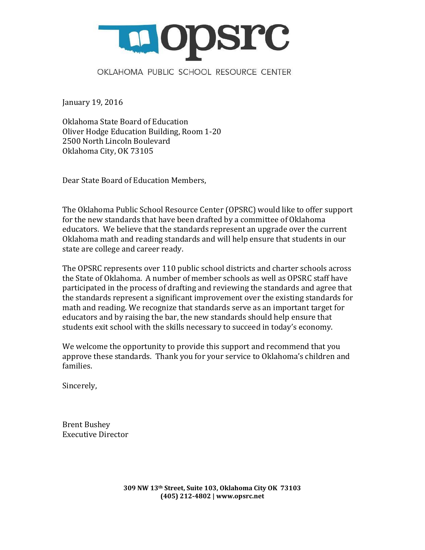

January 19, 2016

Oklahoma State Board of Education [Oliver Hodge Education Building, Room 1-20](https://www.google.com/maps/place/2500+N+Lincoln+Blvd,+Oklahoma+City,+OK+73105/@35.495722,-97.502418,17z/data=!4m2!3m1!1s0x87b217681a876227:0x6a76bb689af827f7) 2500 North Lincoln Boulevard Oklahoma City, OK 73105

Dear State Board of Education Members,

The Oklahoma Public School Resource Center (OPSRC) would like to offer support for the new standards that have been drafted by a committee of Oklahoma educators. We believe that the standards represent an upgrade over the current Oklahoma math and reading standards and will help ensure that students in our state are college and career ready.

The OPSRC represents over 110 public school districts and charter schools across the State of Oklahoma. A number of member schools as well as OPSRC staff have participated in the process of drafting and reviewing the standards and agree that the standards represent a significant improvement over the existing standards for math and reading. We recognize that standards serve as an important target for educators and by raising the bar, the new standards should help ensure that students exit school with the skills necessary to succeed in today's economy.

We welcome the opportunity to provide this support and recommend that you approve these standards. Thank you for your service to Oklahoma's children and families.

Sincerely,

Brent Bushey Executive Director